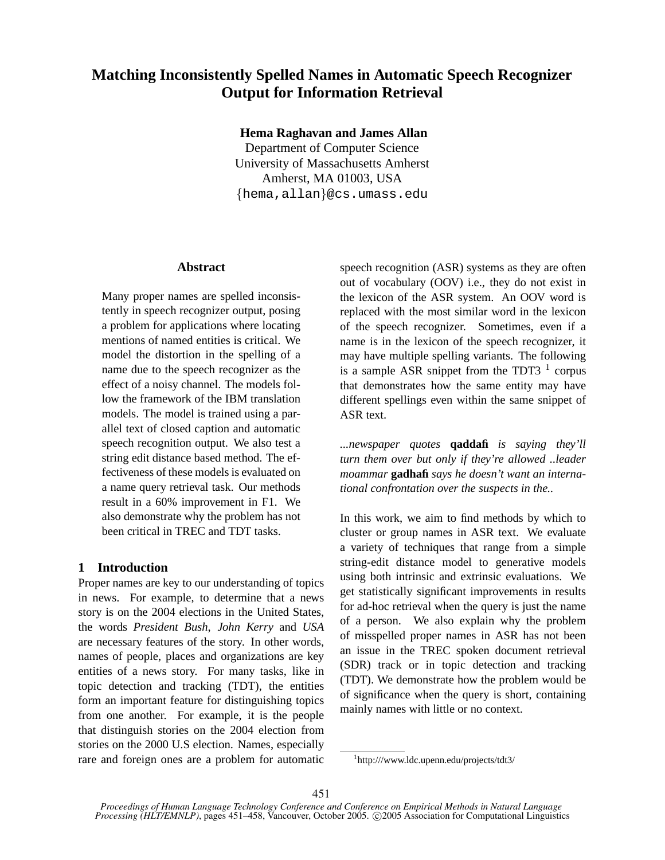# **Matching Inconsistently Spelled Names in Automatic Speech Recognizer Output for Information Retrieval**

**Hema Raghavan and James Allan**

Department of Computer Science University of Massachusetts Amherst Amherst, MA 01003, USA {hema,allan}@cs.umass.edu

# **Abstract**

Many proper names are spelled inconsistently in speech recognizer output, posing a problem for applications where locating mentions of named entities is critical. We model the distortion in the spelling of a name due to the speech recognizer as the effect of a noisy channel. The models follow the framework of the IBM translation models. The model is trained using a parallel text of closed caption and automatic speech recognition output. We also test a string edit distance based method. The effectiveness of these models is evaluated on a name query retrieval task. Our methods result in a 60% improvement in F1. We also demonstrate why the problem has not been critical in TREC and TDT tasks.

# **1 Introduction**

Proper names are key to our understanding of topics in news. For example, to determine that a news story is on the 2004 elections in the United States, the words *President Bush*, *John Kerry* and *USA* are necessary features of the story. In other words, names of people, places and organizations are key entities of a news story. For many tasks, like in topic detection and tracking (TDT), the entities form an important feature for distinguishing topics from one another. For example, it is the people that distinguish stories on the 2004 election from stories on the 2000 U.S election. Names, especially rare and foreign ones are a problem for automatic speech recognition (ASR) systems as they are often out of vocabulary (OOV) i.e., they do not exist in the lexicon of the ASR system. An OOV word is replaced with the most similar word in the lexicon of the speech recognizer. Sometimes, even if a name is in the lexicon of the speech recognizer, it may have multiple spelling variants. The following is a sample ASR snippet from the TDT3  $<sup>1</sup>$  corpus</sup> that demonstrates how the same entity may have different spellings even within the same snippet of ASR text.

*...newspaper quotes* **qaddafi** *is saying they'll turn them over but only if they're allowed ..leader moammar* **gadhafi** *says he doesn't want an international confrontation over the suspects in the..*

In this work, we aim to find methods by which to cluster or group names in ASR text. We evaluate a variety of techniques that range from a simple string-edit distance model to generative models using both intrinsic and extrinsic evaluations. We get statistically significant improvements in results for ad-hoc retrieval when the query is just the name of a person. We also explain why the problem of misspelled proper names in ASR has not been an issue in the TREC spoken document retrieval (SDR) track or in topic detection and tracking (TDT). We demonstrate how the problem would be of significance when the query is short, containing mainly names with little or no context.

<sup>1</sup> http:///www.ldc.upenn.edu/projects/tdt3/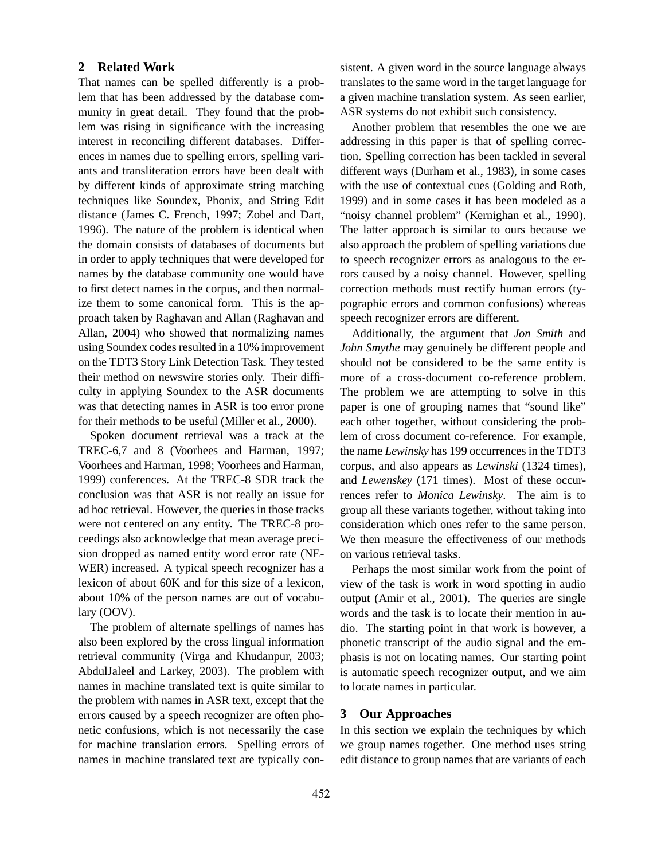# **2 Related Work**

That names can be spelled differently is a problem that has been addressed by the database community in great detail. They found that the problem was rising in significance with the increasing interest in reconciling different databases. Differences in names due to spelling errors, spelling variants and transliteration errors have been dealt with by different kinds of approximate string matching techniques like Soundex, Phonix, and String Edit distance (James C. French, 1997; Zobel and Dart, 1996). The nature of the problem is identical when the domain consists of databases of documents but in order to apply techniques that were developed for names by the database community one would have to first detect names in the corpus, and then normalize them to some canonical form. This is the approach taken by Raghavan and Allan (Raghavan and Allan, 2004) who showed that normalizing names using Soundex codes resulted in a 10% improvement on the TDT3 Story Link Detection Task. They tested their method on newswire stories only. Their difficulty in applying Soundex to the ASR documents was that detecting names in ASR is too error prone for their methods to be useful (Miller et al., 2000).

Spoken document retrieval was a track at the TREC-6,7 and 8 (Voorhees and Harman, 1997; Voorhees and Harman, 1998; Voorhees and Harman, 1999) conferences. At the TREC-8 SDR track the conclusion was that ASR is not really an issue for ad hoc retrieval. However, the queries in those tracks were not centered on any entity. The TREC-8 proceedings also acknowledge that mean average precision dropped as named entity word error rate (NE-WER) increased. A typical speech recognizer has a lexicon of about 60K and for this size of a lexicon, about 10% of the person names are out of vocabulary (OOV).

The problem of alternate spellings of names has also been explored by the cross lingual information retrieval community (Virga and Khudanpur, 2003; AbdulJaleel and Larkey, 2003). The problem with names in machine translated text is quite similar to the problem with names in ASR text, except that the errors caused by a speech recognizer are often phonetic confusions, which is not necessarily the case for machine translation errors. Spelling errors of names in machine translated text are typically consistent. A given word in the source language always translates to the same word in the target language for a given machine translation system. As seen earlier, ASR systems do not exhibit such consistency.

Another problem that resembles the one we are addressing in this paper is that of spelling correction. Spelling correction has been tackled in several different ways (Durham et al., 1983), in some cases with the use of contextual cues (Golding and Roth, 1999) and in some cases it has been modeled as a "noisy channel problem" (Kernighan et al., 1990). The latter approach is similar to ours because we also approach the problem of spelling variations due to speech recognizer errors as analogous to the errors caused by a noisy channel. However, spelling correction methods must rectify human errors (typographic errors and common confusions) whereas speech recognizer errors are different.

Additionally, the argument that *Jon Smith* and *John Smythe* may genuinely be different people and should not be considered to be the same entity is more of a cross-document co-reference problem. The problem we are attempting to solve in this paper is one of grouping names that "sound like" each other together, without considering the problem of cross document co-reference. For example, the name *Lewinsky* has 199 occurrences in the TDT3 corpus, and also appears as *Lewinski* (1324 times), and *Lewenskey* (171 times). Most of these occurrences refer to *Monica Lewinsky*. The aim is to group all these variants together, without taking into consideration which ones refer to the same person. We then measure the effectiveness of our methods on various retrieval tasks.

Perhaps the most similar work from the point of view of the task is work in word spotting in audio output (Amir et al., 2001). The queries are single words and the task is to locate their mention in audio. The starting point in that work is however, a phonetic transcript of the audio signal and the emphasis is not on locating names. Our starting point is automatic speech recognizer output, and we aim to locate names in particular.

### **3 Our Approaches**

In this section we explain the techniques by which we group names together. One method uses string edit distance to group names that are variants of each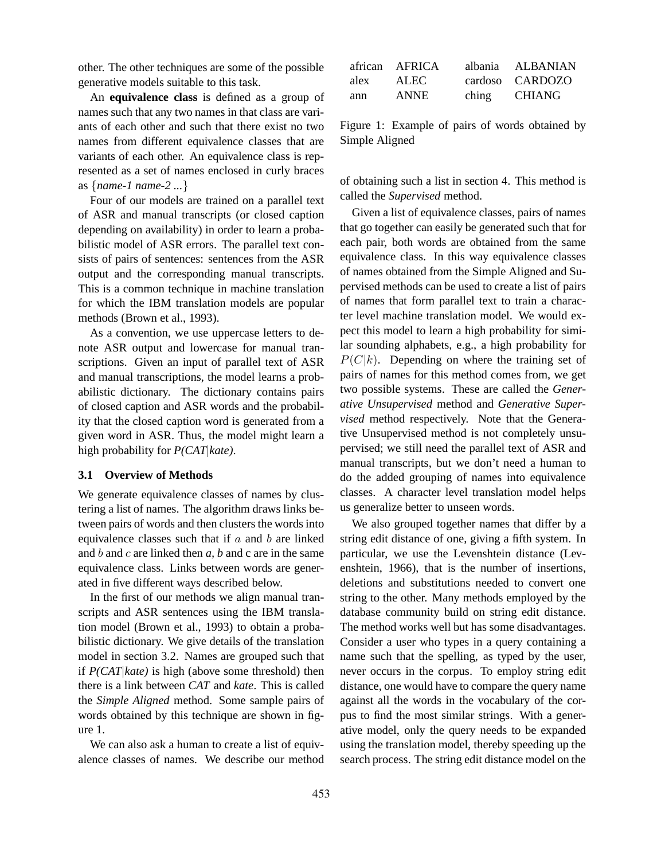other. The other techniques are some of the possible generative models suitable to this task.

An **equivalence class** is defined as a group of names such that any two names in that class are variants of each other and such that there exist no two names from different equivalence classes that are variants of each other. An equivalence class is represented as a set of names enclosed in curly braces as {*name-1 name-2 ...*}

Four of our models are trained on a parallel text of ASR and manual transcripts (or closed caption depending on availability) in order to learn a probabilistic model of ASR errors. The parallel text consists of pairs of sentences: sentences from the ASR output and the corresponding manual transcripts. This is a common technique in machine translation for which the IBM translation models are popular methods (Brown et al., 1993).

As a convention, we use uppercase letters to denote ASR output and lowercase for manual transcriptions. Given an input of parallel text of ASR and manual transcriptions, the model learns a probabilistic dictionary. The dictionary contains pairs of closed caption and ASR words and the probability that the closed caption word is generated from a given word in ASR. Thus, the model might learn a high probability for *P(CAT*|*kate)*.

#### **3.1 Overview of Methods**

We generate equivalence classes of names by clustering a list of names. The algorithm draws links between pairs of words and then clusters the words into equivalence classes such that if  $a$  and  $b$  are linked and b and c are linked then *a, b* and c are in the same equivalence class. Links between words are generated in five different ways described below.

In the first of our methods we align manual transcripts and ASR sentences using the IBM translation model (Brown et al., 1993) to obtain a probabilistic dictionary. We give details of the translation model in section 3.2. Names are grouped such that if *P(CAT*|*kate)* is high (above some threshold) then there is a link between *CAT* and *kate*. This is called the *Simple Aligned* method. Some sample pairs of words obtained by this technique are shown in figure 1.

We can also ask a human to create a list of equivalence classes of names. We describe our method

|      | african AFRICA |                   | albania ALBANIAN |
|------|----------------|-------------------|------------------|
| alex | <b>ALEC</b>    |                   | cardoso CARDOZO  |
| ann  | <b>ANNE</b>    | $chin\mathcal{Q}$ | CHIANG           |

Figure 1: Example of pairs of words obtained by Simple Aligned

of obtaining such a list in section 4. This method is called the *Supervised* method.

Given a list of equivalence classes, pairs of names that go together can easily be generated such that for each pair, both words are obtained from the same equivalence class. In this way equivalence classes of names obtained from the Simple Aligned and Supervised methods can be used to create a list of pairs of names that form parallel text to train a character level machine translation model. We would expect this model to learn a high probability for similar sounding alphabets, e.g., a high probability for  $P(C|k)$ . Depending on where the training set of pairs of names for this method comes from, we get two possible systems. These are called the *Generative Unsupervised* method and *Generative Supervised* method respectively. Note that the Generative Unsupervised method is not completely unsupervised; we still need the parallel text of ASR and manual transcripts, but we don't need a human to do the added grouping of names into equivalence classes. A character level translation model helps us generalize better to unseen words.

We also grouped together names that differ by a string edit distance of one, giving a fifth system. In particular, we use the Levenshtein distance (Levenshtein, 1966), that is the number of insertions, deletions and substitutions needed to convert one string to the other. Many methods employed by the database community build on string edit distance. The method works well but has some disadvantages. Consider a user who types in a query containing a name such that the spelling, as typed by the user, never occurs in the corpus. To employ string edit distance, one would have to compare the query name against all the words in the vocabulary of the corpus to find the most similar strings. With a generative model, only the query needs to be expanded using the translation model, thereby speeding up the search process. The string edit distance model on the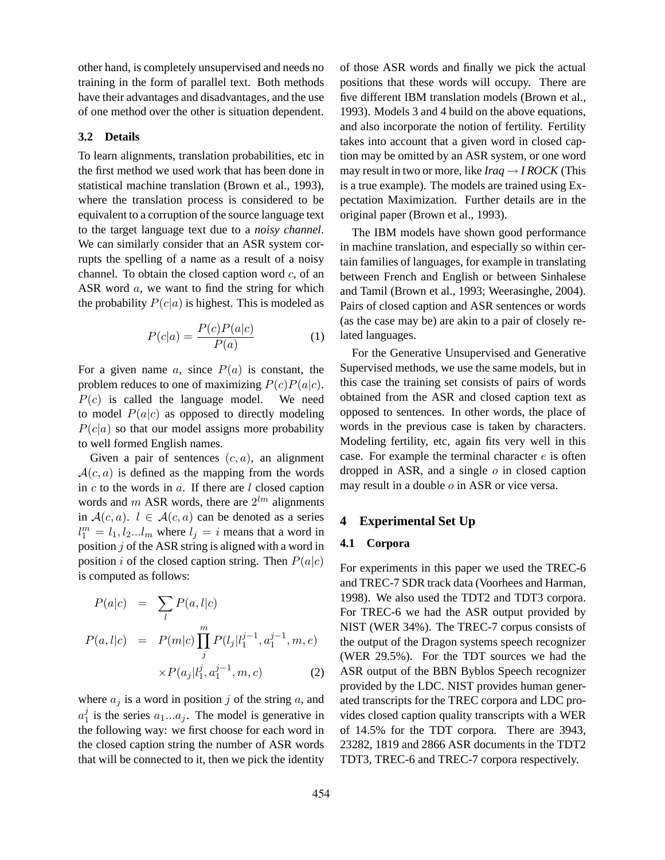other hand, is completely unsupervised and needs no training in the form of parallel text. Both methods have their advantages and disadvantages, and the use of one method over the other is situation dependent.

# **3.2 Details**

To learn alignments, translation probabilities, etc in the first method we used work that has been done in statistical machine translation (Brown et al., 1993), where the translation process is considered to be equivalent to a corruption of the source language text to the target language text due to a *noisy channel*. We can similarly consider that an ASR system corrupts the spelling of a name as a result of a noisy channel. To obtain the closed caption word  $c$ , of an ASR word a, we want to find the string for which the probability  $P(c|a)$  is highest. This is modeled as

$$
P(c|a) = \frac{P(c)P(a|c)}{P(a)}\tag{1}
$$

For a given name  $a$ , since  $P(a)$  is constant, the problem reduces to one of maximizing  $P(c)P(a|c)$ .  $P(c)$  is called the language model. We need to model  $P(a|c)$  as opposed to directly modeling  $P(c|a)$  so that our model assigns more probability to well formed English names.

Given a pair of sentences  $(c, a)$ , an alignment  $A(c, a)$  is defined as the mapping from the words in  $c$  to the words in  $a$ . If there are  $l$  closed caption words and m ASR words, there are  $2^{lm}$  alignments in  $A(c, a)$ .  $l \in A(c, a)$  can be denoted as a series  $l_1^m = l_1, l_2...l_m$  where  $l_j = i$  means that a word in position  $j$  of the ASR string is aligned with a word in position i of the closed caption string. Then  $P(a|c)$ is computed as follows:

$$
P(a|c) = \sum_{l} P(a, l|c)
$$
  
\n
$$
P(a, l|c) = P(m|c) \prod_{j}^{m} P(l_j|l_1^{j-1}, a_1^{j-1}, m, e)
$$
  
\n
$$
\times P(a_j|l_1^j, a_1^{j-1}, m, c) \tag{2}
$$

where  $a_j$  is a word in position j of the string a, and  $a_1^j$  is the series  $a_1...a_j$ . The model is generative in the following way: we first choose for each word in the closed caption string the number of ASR words that will be connected to it, then we pick the identity of those ASR words and finally we pick the actual positions that these words will occupy. There are five different IBM translation models (Brown et al., 1993). Models 3 and 4 build on the above equations, and also incorporate the notion of fertility. Fertility takes into account that a given word in closed caption may be omitted by an ASR system, or one word may result in two or more, like  $Iraq \rightarrow IROCK$  (This is a true example). The models are trained using Expectation Maximization. Further details are in the original paper (Brown et al., 1993).

The IBM models have shown good performance in machine translation, and especially so within certain families of languages, for example in translating between French and English or between Sinhalese and Tamil (Brown et al., 1993; Weerasinghe, 2004). Pairs of closed caption and ASR sentences or words (as the case may be) are akin to a pair of closely related languages.

For the Generative Unsupervised and Generative Supervised methods, we use the same models, but in this case the training set consists of pairs of words obtained from the ASR and closed caption text as opposed to sentences. In other words, the place of words in the previous case is taken by characters. Modeling fertility, etc, again fits very well in this case. For example the terminal character  $e$  is often dropped in ASR, and a single  $o$  in closed caption may result in a double o in ASR or vice versa.

### **4 Experimental Set Up**

#### **4.1 Corpora**

For experiments in this paper we used the TREC-6 and TREC-7 SDR track data (Voorhees and Harman, 1998). We also used the TDT2 and TDT3 corpora. For TREC-6 we had the ASR output provided by NIST (WER 34%). The TREC-7 corpus consists of the output of the Dragon systems speech recognizer (WER 29.5%). For the TDT sources we had the ASR output of the BBN Byblos Speech recognizer provided by the LDC. NIST provides human generated transcripts for the TREC corpora and LDC provides closed caption quality transcripts with a WER of 14.5% for the TDT corpora. There are 3943, 23282, 1819 and 2866 ASR documents in the TDT2 TDT3, TREC-6 and TREC-7 corpora respectively.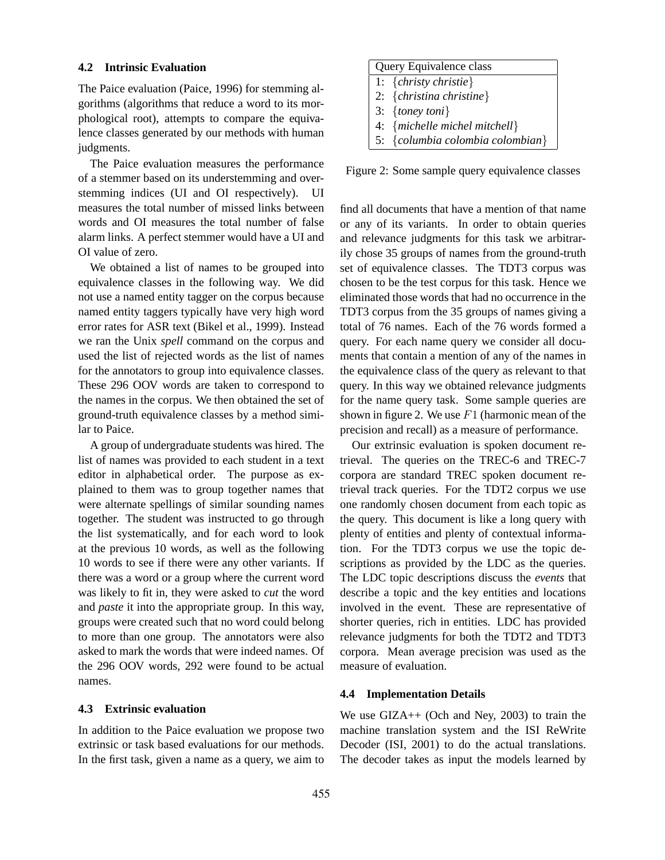#### **4.2 Intrinsic Evaluation**

The Paice evaluation (Paice, 1996) for stemming algorithms (algorithms that reduce a word to its morphological root), attempts to compare the equivalence classes generated by our methods with human judgments.

The Paice evaluation measures the performance of a stemmer based on its understemming and overstemming indices (UI and OI respectively). UI measures the total number of missed links between words and OI measures the total number of false alarm links. A perfect stemmer would have a UI and OI value of zero.

We obtained a list of names to be grouped into equivalence classes in the following way. We did not use a named entity tagger on the corpus because named entity taggers typically have very high word error rates for ASR text (Bikel et al., 1999). Instead we ran the Unix *spell* command on the corpus and used the list of rejected words as the list of names for the annotators to group into equivalence classes. These 296 OOV words are taken to correspond to the names in the corpus. We then obtained the set of ground-truth equivalence classes by a method similar to Paice.

A group of undergraduate students was hired. The list of names was provided to each student in a text editor in alphabetical order. The purpose as explained to them was to group together names that were alternate spellings of similar sounding names together. The student was instructed to go through the list systematically, and for each word to look at the previous 10 words, as well as the following 10 words to see if there were any other variants. If there was a word or a group where the current word was likely to fit in, they were asked to *cut* the word and *paste* it into the appropriate group. In this way, groups were created such that no word could belong to more than one group. The annotators were also asked to mark the words that were indeed names. Of the 296 OOV words, 292 were found to be actual names.

#### **4.3 Extrinsic evaluation**

In addition to the Paice evaluation we propose two extrinsic or task based evaluations for our methods. In the first task, given a name as a query, we aim to

| Query Equivalence class          |  |  |
|----------------------------------|--|--|
| 1: { <i>christy christie</i> }   |  |  |
| 2: {christina christine}         |  |  |
| 3: {toney toni}                  |  |  |
| 4: {michelle michel mitchell}    |  |  |
| 5: {columbia colombia colombian} |  |  |

Figure 2: Some sample query equivalence classes

find all documents that have a mention of that name or any of its variants. In order to obtain queries and relevance judgments for this task we arbitrarily chose 35 groups of names from the ground-truth set of equivalence classes. The TDT3 corpus was chosen to be the test corpus for this task. Hence we eliminated those words that had no occurrence in the TDT3 corpus from the 35 groups of names giving a total of 76 names. Each of the 76 words formed a query. For each name query we consider all documents that contain a mention of any of the names in the equivalence class of the query as relevant to that query. In this way we obtained relevance judgments for the name query task. Some sample queries are shown in figure 2. We use  $F1$  (harmonic mean of the precision and recall) as a measure of performance.

Our extrinsic evaluation is spoken document retrieval. The queries on the TREC-6 and TREC-7 corpora are standard TREC spoken document retrieval track queries. For the TDT2 corpus we use one randomly chosen document from each topic as the query. This document is like a long query with plenty of entities and plenty of contextual information. For the TDT3 corpus we use the topic descriptions as provided by the LDC as the queries. The LDC topic descriptions discuss the *events* that describe a topic and the key entities and locations involved in the event. These are representative of shorter queries, rich in entities. LDC has provided relevance judgments for both the TDT2 and TDT3 corpora. Mean average precision was used as the measure of evaluation.

### **4.4 Implementation Details**

We use GIZA++ (Och and Ney, 2003) to train the machine translation system and the ISI ReWrite Decoder (ISI, 2001) to do the actual translations. The decoder takes as input the models learned by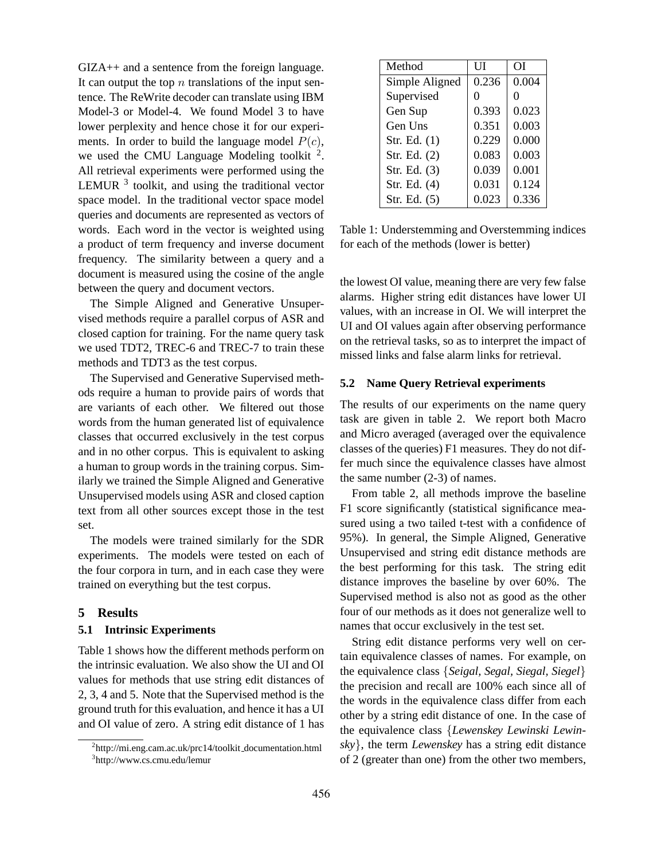GIZA++ and a sentence from the foreign language. It can output the top  $n$  translations of the input sentence. The ReWrite decoder can translate using IBM Model-3 or Model-4. We found Model 3 to have lower perplexity and hence chose it for our experiments. In order to build the language model  $P(c)$ , we used the CMU Language Modeling toolkit  $2$ . All retrieval experiments were performed using the LEMUR  $<sup>3</sup>$  toolkit, and using the traditional vector</sup> space model. In the traditional vector space model queries and documents are represented as vectors of words. Each word in the vector is weighted using a product of term frequency and inverse document frequency. The similarity between a query and a document is measured using the cosine of the angle between the query and document vectors.

The Simple Aligned and Generative Unsupervised methods require a parallel corpus of ASR and closed caption for training. For the name query task we used TDT2, TREC-6 and TREC-7 to train these methods and TDT3 as the test corpus.

The Supervised and Generative Supervised methods require a human to provide pairs of words that are variants of each other. We filtered out those words from the human generated list of equivalence classes that occurred exclusively in the test corpus and in no other corpus. This is equivalent to asking a human to group words in the training corpus. Similarly we trained the Simple Aligned and Generative Unsupervised models using ASR and closed caption text from all other sources except those in the test set.

The models were trained similarly for the SDR experiments. The models were tested on each of the four corpora in turn, and in each case they were trained on everything but the test corpus.

# **5 Results**

# **5.1 Intrinsic Experiments**

Table 1 shows how the different methods perform on the intrinsic evaluation. We also show the UI and OI values for methods that use string edit distances of 2, 3, 4 and 5. Note that the Supervised method is the ground truth for this evaluation, and hence it has a UI and OI value of zero. A string edit distance of 1 has

| Method         | UІ    | ΩĪ    |  |
|----------------|-------|-------|--|
| Simple Aligned | 0.236 | 0.004 |  |
| Supervised     | 0     | 0     |  |
| Gen Sup        | 0.393 | 0.023 |  |
| Gen Uns        | 0.351 | 0.003 |  |
| Str. Ed. (1)   | 0.229 | 0.000 |  |
| Str. Ed. (2)   | 0.083 | 0.003 |  |
| Str. Ed. (3)   | 0.039 | 0.001 |  |
| Str. Ed. (4)   | 0.031 | 0.124 |  |
| Str. Ed. (5)   | 0.023 | 0.336 |  |

Table 1: Understemming and Overstemming indices for each of the methods (lower is better)

the lowest OI value, meaning there are very few false alarms. Higher string edit distances have lower UI values, with an increase in OI. We will interpret the UI and OI values again after observing performance on the retrieval tasks, so as to interpret the impact of missed links and false alarm links for retrieval.

### **5.2 Name Query Retrieval experiments**

The results of our experiments on the name query task are given in table 2. We report both Macro and Micro averaged (averaged over the equivalence classes of the queries) F1 measures. They do not differ much since the equivalence classes have almost the same number (2-3) of names.

From table 2, all methods improve the baseline F1 score significantly (statistical significance measured using a two tailed t-test with a confidence of 95%). In general, the Simple Aligned, Generative Unsupervised and string edit distance methods are the best performing for this task. The string edit distance improves the baseline by over 60%. The Supervised method is also not as good as the other four of our methods as it does not generalize well to names that occur exclusively in the test set.

String edit distance performs very well on certain equivalence classes of names. For example, on the equivalence class {*Seigal, Segal, Siegal, Siegel*} the precision and recall are 100% each since all of the words in the equivalence class differ from each other by a string edit distance of one. In the case of the equivalence class {*Lewenskey Lewinski Lewinsky*}, the term *Lewenskey* has a string edit distance of 2 (greater than one) from the other two members,

<sup>&</sup>lt;sup>2</sup>http://mi.eng.cam.ac.uk/prc14/toolkit\_documentation.html 3 http://www.cs.cmu.edu/lemur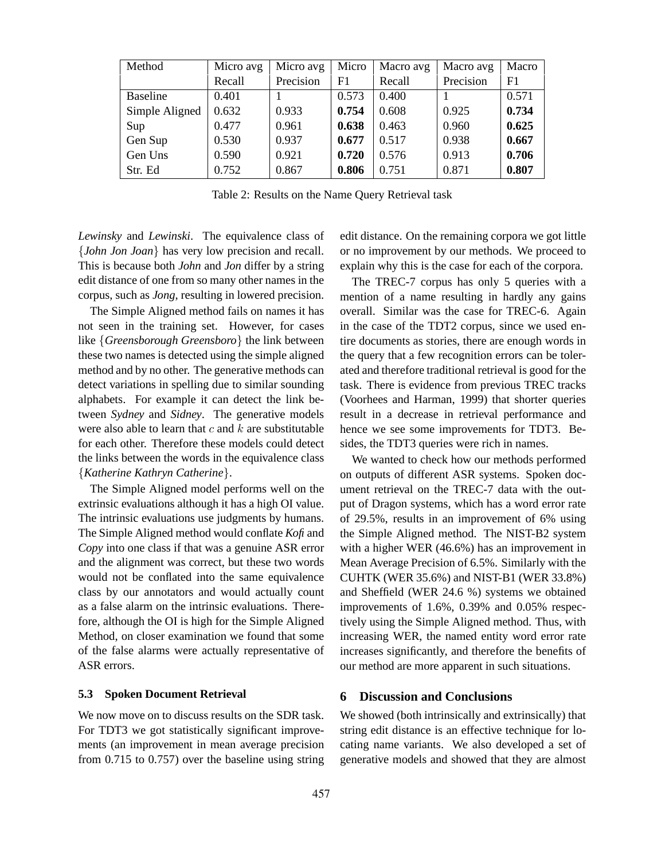| Method          | Micro avg | Micro avg | Micro | Macro avg | Macro avg | Macro |
|-----------------|-----------|-----------|-------|-----------|-----------|-------|
|                 | Recall    | Precision | F1    | Recall    | Precision | F1    |
| <b>Baseline</b> | 0.401     |           | 0.573 | 0.400     |           | 0.571 |
| Simple Aligned  | 0.632     | 0.933     | 0.754 | 0.608     | 0.925     | 0.734 |
| Sup             | 0.477     | 0.961     | 0.638 | 0.463     | 0.960     | 0.625 |
| Gen Sup         | 0.530     | 0.937     | 0.677 | 0.517     | 0.938     | 0.667 |
| Gen Uns         | 0.590     | 0.921     | 0.720 | 0.576     | 0.913     | 0.706 |
| Str. Ed         | 0.752     | 0.867     | 0.806 | 0.751     | 0.871     | 0.807 |

Table 2: Results on the Name Query Retrieval task

*Lewinsky* and *Lewinski*. The equivalence class of {*John Jon Joan*} has very low precision and recall. This is because both *John* and *Jon* differ by a string edit distance of one from so many other names in the corpus, such as *Jong*, resulting in lowered precision.

The Simple Aligned method fails on names it has not seen in the training set. However, for cases like {*Greensborough Greensboro*} the link between these two names is detected using the simple aligned method and by no other. The generative methods can detect variations in spelling due to similar sounding alphabets. For example it can detect the link between *Sydney* and *Sidney*. The generative models were also able to learn that  $c$  and  $k$  are substitutable for each other. Therefore these models could detect the links between the words in the equivalence class {*Katherine Kathryn Catherine*}.

The Simple Aligned model performs well on the extrinsic evaluations although it has a high OI value. The intrinsic evaluations use judgments by humans. The Simple Aligned method would conflate *Kofi* and *Copy* into one class if that was a genuine ASR error and the alignment was correct, but these two words would not be conflated into the same equivalence class by our annotators and would actually count as a false alarm on the intrinsic evaluations. Therefore, although the OI is high for the Simple Aligned Method, on closer examination we found that some of the false alarms were actually representative of ASR errors.

### **5.3 Spoken Document Retrieval**

We now move on to discuss results on the SDR task. For TDT3 we got statistically significant improvements (an improvement in mean average precision from 0.715 to 0.757) over the baseline using string edit distance. On the remaining corpora we got little or no improvement by our methods. We proceed to explain why this is the case for each of the corpora.

The TREC-7 corpus has only 5 queries with a mention of a name resulting in hardly any gains overall. Similar was the case for TREC-6. Again in the case of the TDT2 corpus, since we used entire documents as stories, there are enough words in the query that a few recognition errors can be tolerated and therefore traditional retrieval is good for the task. There is evidence from previous TREC tracks (Voorhees and Harman, 1999) that shorter queries result in a decrease in retrieval performance and hence we see some improvements for TDT3. Besides, the TDT3 queries were rich in names.

We wanted to check how our methods performed on outputs of different ASR systems. Spoken document retrieval on the TREC-7 data with the output of Dragon systems, which has a word error rate of 29.5%, results in an improvement of 6% using the Simple Aligned method. The NIST-B2 system with a higher WER (46.6%) has an improvement in Mean Average Precision of 6.5%. Similarly with the CUHTK (WER 35.6%) and NIST-B1 (WER 33.8%) and Sheffield (WER 24.6 %) systems we obtained improvements of 1.6%, 0.39% and 0.05% respectively using the Simple Aligned method. Thus, with increasing WER, the named entity word error rate increases significantly, and therefore the benefits of our method are more apparent in such situations.

### **6 Discussion and Conclusions**

We showed (both intrinsically and extrinsically) that string edit distance is an effective technique for locating name variants. We also developed a set of generative models and showed that they are almost